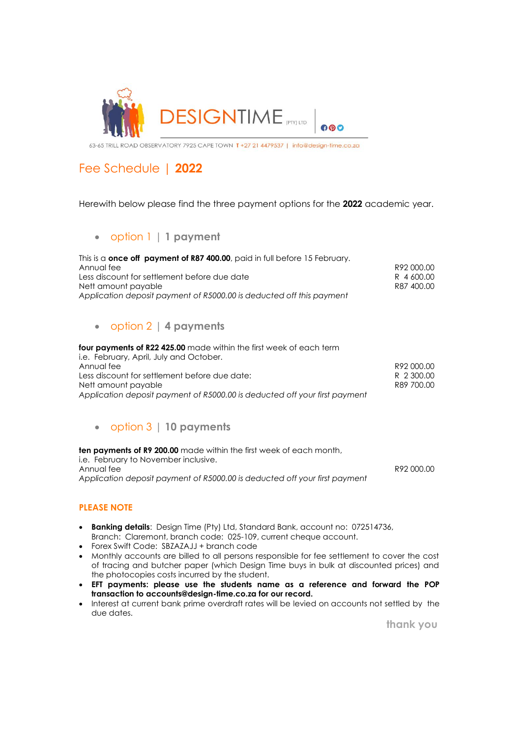

63-65 TRILL ROAD OBSERVATORY 7925 CAPE TOWN T +27 21 4479537 | info@design-time.co.za

## Fee Schedule | **2022**

Herewith below please find the three payment options for the **2022** academic year.

### • option 1 | **1 payment**

| This is a <b>once off payment of R87 400.00</b> , paid in full before 15 February. |            |
|------------------------------------------------------------------------------------|------------|
| Annual fee                                                                         | R92000.00  |
| Less discount for settlement before due date                                       | R 4600.00  |
| Nett amount payable                                                                | R87 400.00 |
| Application deposit payment of R5000.00 is deducted off this payment               |            |

### • option 2 | **4 payments**

**four payments of R22 425.00** made within the first week of each term i.e. February, April, July and October. Annual fee R92 000.00 Less discount for settlement before due date: R 2 300.00 Nett amount payable **R89 700.00** *Application deposit payment of R5000.00 is deducted off your first payment*

### • option 3 | **10 payments**

**ten payments of R9 200.00** made within the first week of each month, i.e. February to November inclusive. Annual fee R92 000.00 *Application deposit payment of R5000.00 is deducted off your first payment*

#### **PLEASE NOTE**

- **Banking details**: Design Time (Pty) Ltd, Standard Bank, account no: 072514736, Branch: Claremont, branch code: 025-109, current cheque account.
- Forex Swift Code: SBZAZAJJ + branch code
- Monthly accounts are billed to all persons responsible for fee settlement to cover the cost of tracing and butcher paper (which Design Time buys in bulk at discounted prices) and the photocopies costs incurred by the student.
- **EFT payments: please use the students name as a reference and forward the POP transaction to [accounts@design-time.co.za](mailto:accounts@design-time.co.za) for our record.**
- Interest at current bank prime overdraft rates will be levied on accounts not settled by the due dates.

 **thank you**